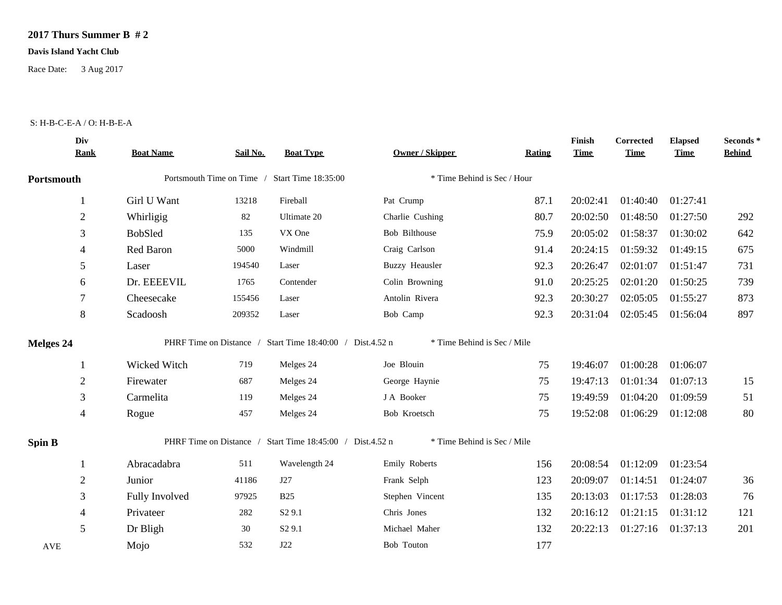## **2017 Thurs Summer B # 2**

## **Davis Island Yacht Club**

Race Date: 3 Aug 2017

## S: H-B-C-E-A / O: H-B-E-A

|                  | Div<br><b>Rank</b> | <b>Boat Name</b> | Sail No. | <b>Boat Type</b>                                          | <b>Owner / Skipper</b>      | <b>Rating</b> | Finish<br><b>Time</b> | Corrected<br><b>Time</b> | <b>Elapsed</b><br><b>Time</b> | Seconds*<br><b>Behind</b> |
|------------------|--------------------|------------------|----------|-----------------------------------------------------------|-----------------------------|---------------|-----------------------|--------------------------|-------------------------------|---------------------------|
| Portsmouth       |                    |                  |          | Portsmouth Time on Time / Start Time 18:35:00             | * Time Behind is Sec / Hour |               |                       |                          |                               |                           |
|                  |                    | Girl U Want      | 13218    | Fireball                                                  | Pat Crump                   | 87.1          | 20:02:41              | 01:40:40                 | 01:27:41                      |                           |
|                  | $\overline{2}$     | Whirligig        | 82       | Ultimate 20                                               | Charlie Cushing             | 80.7          | 20:02:50              | 01:48:50                 | 01:27:50                      | 292                       |
|                  | 3                  | <b>BobSled</b>   | 135      | VX One                                                    | Bob Bilthouse               | 75.9          | 20:05:02              | 01:58:37                 | 01:30:02                      | 642                       |
|                  | 4                  | Red Baron        | 5000     | Windmill                                                  | Craig Carlson               | 91.4          | 20:24:15              | 01:59:32                 | 01:49:15                      | 675                       |
|                  | 5                  | Laser            | 194540   | Laser                                                     | <b>Buzzy Heausler</b>       | 92.3          | 20:26:47              | 02:01:07                 | 01:51:47                      | 731                       |
|                  | 6                  | Dr. EEEEVIL      | 1765     | Contender                                                 | Colin Browning              | 91.0          | 20:25:25              | 02:01:20                 | 01:50:25                      | 739                       |
|                  | 7                  | Cheesecake       | 155456   | Laser                                                     | Antolin Rivera              | 92.3          | 20:30:27              | 02:05:05                 | 01:55:27                      | 873                       |
|                  | 8                  | Scadoosh         | 209352   | Laser                                                     | Bob Camp                    | 92.3          | 20:31:04              | 02:05:45                 | 01:56:04                      | 897                       |
| <b>Melges 24</b> |                    |                  |          | PHRF Time on Distance / Start Time 18:40:00 / Dist.4.52 n | * Time Behind is Sec / Mile |               |                       |                          |                               |                           |
|                  |                    | Wicked Witch     | 719      | Melges 24                                                 | Joe Blouin                  | 75            | 19:46:07              | 01:00:28                 | 01:06:07                      |                           |
|                  | $\sqrt{2}$         | Firewater        | 687      | Melges 24                                                 | George Haynie               | 75            | 19:47:13              | 01:01:34                 | 01:07:13                      | 15                        |
|                  | 3                  | Carmelita        | 119      | Melges 24                                                 | J A Booker                  | 75            | 19:49:59              | 01:04:20                 | 01:09:59                      | 51                        |
|                  | 4                  | Rogue            | 457      | Melges 24                                                 | Bob Kroetsch                | 75            | 19:52:08              | 01:06:29                 | 01:12:08                      | 80                        |
| <b>Spin B</b>    |                    |                  |          | PHRF Time on Distance / Start Time 18:45:00 / Dist.4.52 n | * Time Behind is Sec / Mile |               |                       |                          |                               |                           |
|                  |                    | Abracadabra      | 511      | Wavelength 24                                             | Emily Roberts               | 156           | 20:08:54              | 01:12:09                 | 01:23:54                      |                           |
|                  | $\overline{2}$     | Junior           | 41186    | J27                                                       | Frank Selph                 | 123           | 20:09:07              | 01:14:51                 | 01:24:07                      | 36                        |
|                  | 3                  | Fully Involved   | 97925    | <b>B25</b>                                                | Stephen Vincent             | 135           | 20:13:03              | 01:17:53                 | 01:28:03                      | 76                        |
|                  | 4                  | Privateer        | 282      | S <sub>2</sub> 9.1                                        | Chris Jones                 | 132           | 20:16:12              | 01:21:15                 | 01:31:12                      | 121                       |
|                  | 5                  | Dr Bligh         | 30       | S <sub>2</sub> 9.1                                        | Michael Maher               | 132           | 20:22:13              | 01:27:16                 | 01:37:13                      | 201                       |
| <b>AVE</b>       |                    | Mojo             | 532      | J22                                                       | Bob Touton                  | 177           |                       |                          |                               |                           |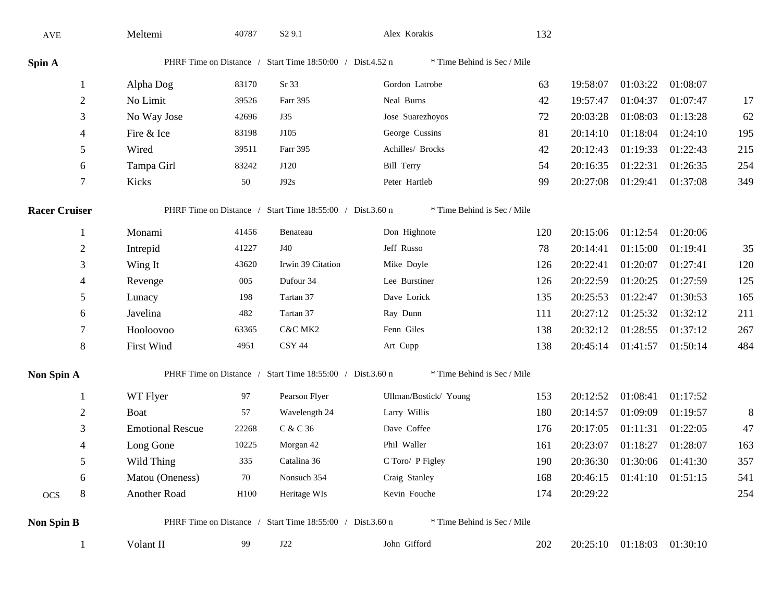| AVE                                                                                                              |                | Meltemi                 | 40787 | S <sub>2</sub> 9.1                                        | Alex Korakis                | 132 |          |                            |          |     |
|------------------------------------------------------------------------------------------------------------------|----------------|-------------------------|-------|-----------------------------------------------------------|-----------------------------|-----|----------|----------------------------|----------|-----|
| Spin A                                                                                                           |                |                         |       | PHRF Time on Distance / Start Time 18:50:00 / Dist.4.52 n | * Time Behind is Sec / Mile |     |          |                            |          |     |
|                                                                                                                  | 1              | Alpha Dog               | 83170 | Sr 33                                                     | Gordon Latrobe              | 63  | 19:58:07 | 01:03:22                   | 01:08:07 |     |
|                                                                                                                  | $\overline{2}$ | No Limit                | 39526 | Farr 395                                                  | Neal Burns                  | 42  | 19:57:47 | 01:04:37                   | 01:07:47 | 17  |
|                                                                                                                  | 3              | No Way Jose             | 42696 | J35                                                       | Jose Suarezhoyos            | 72  | 20:03:28 | 01:08:03                   | 01:13:28 | 62  |
|                                                                                                                  | 4              | Fire & Ice              | 83198 | J105                                                      | George Cussins              | 81  | 20:14:10 | 01:18:04                   | 01:24:10 | 195 |
|                                                                                                                  | 5              | Wired                   | 39511 | Farr 395                                                  | Achilles/ Brocks            | 42  | 20:12:43 | 01:19:33                   | 01:22:43 | 215 |
|                                                                                                                  | 6              | Tampa Girl              | 83242 | J120                                                      | <b>Bill Terry</b>           | 54  | 20:16:35 | 01:22:31                   | 01:26:35 | 254 |
|                                                                                                                  | 7              | Kicks                   | 50    | J92s                                                      | Peter Hartleb               | 99  | 20:27:08 | 01:29:41                   | 01:37:08 | 349 |
| PHRF Time on Distance / Start Time 18:55:00 / Dist.3.60 n<br>* Time Behind is Sec / Mile<br><b>Racer Cruiser</b> |                |                         |       |                                                           |                             |     |          |                            |          |     |
|                                                                                                                  |                | Monami                  | 41456 | Benateau                                                  | Don Highnote                | 120 | 20:15:06 | 01:12:54                   | 01:20:06 |     |
|                                                                                                                  | 2              | Intrepid                | 41227 | J40                                                       | Jeff Russo                  | 78  | 20:14:41 | 01:15:00                   | 01:19:41 | 35  |
|                                                                                                                  | 3              | Wing It                 | 43620 | Irwin 39 Citation                                         | Mike Doyle                  | 126 | 20:22:41 | 01:20:07                   | 01:27:41 | 120 |
|                                                                                                                  | 4              | Revenge                 | 005   | Dufour 34                                                 | Lee Burstiner               | 126 | 20:22:59 | 01:20:25                   | 01:27:59 | 125 |
|                                                                                                                  | 5              | Lunacy                  | 198   | Tartan 37                                                 | Dave Lorick                 | 135 | 20:25:53 | 01:22:47                   | 01:30:53 | 165 |
|                                                                                                                  | 6              | Javelina                | 482   | Tartan 37                                                 | Ray Dunn                    | 111 | 20:27:12 | 01:25:32                   | 01:32:12 | 211 |
|                                                                                                                  | 7              | Hooloovoo               | 63365 | C&C MK2                                                   | Fenn Giles                  | 138 | 20:32:12 | 01:28:55                   | 01:37:12 | 267 |
|                                                                                                                  | $8\,$          | <b>First Wind</b>       | 4951  | <b>CSY 44</b>                                             | Art Cupp                    | 138 | 20:45:14 | 01:41:57                   | 01:50:14 | 484 |
| PHRF Time on Distance / Start Time 18:55:00 / Dist.3.60 n<br>* Time Behind is Sec / Mile<br>Non Spin A           |                |                         |       |                                                           |                             |     |          |                            |          |     |
|                                                                                                                  |                | WT Flyer                | 97    | Pearson Flyer                                             | Ullman/Bostick/ Young       | 153 | 20:12:52 | 01:08:41                   | 01:17:52 |     |
|                                                                                                                  | $\overline{c}$ | Boat                    | 57    | Wavelength 24                                             | Larry Willis                | 180 | 20:14:57 | 01:09:09                   | 01:19:57 | 8   |
|                                                                                                                  | 3              | <b>Emotional Rescue</b> | 22268 | C & C 36                                                  | Dave Coffee                 | 176 | 20:17:05 | 01:11:31                   | 01:22:05 | 47  |
|                                                                                                                  | 4              | Long Gone               | 10225 | Morgan 42                                                 | Phil Waller                 | 161 | 20:23:07 | 01:18:27                   | 01:28:07 | 163 |
|                                                                                                                  | 5              | Wild Thing              | 335   | Catalina 36                                               | C Toro/ P Figley            | 190 | 20:36:30 | 01:30:06                   | 01:41:30 | 357 |
|                                                                                                                  | 6              | Matou (Oneness)         | 70    | Nonsuch 354                                               | Craig Stanley               | 168 | 20:46:15 | $01:41:10$ $01:51:15$      |          | 541 |
| $OCS$                                                                                                            | $\,8\,$        | Another Road            | H100  | Heritage WIs                                              | Kevin Fouche                | 174 | 20:29:22 |                            |          | 254 |
| <b>Non Spin B</b>                                                                                                |                |                         |       | PHRF Time on Distance / Start Time 18:55:00 / Dist.3.60 n | * Time Behind is Sec / Mile |     |          |                            |          |     |
|                                                                                                                  |                | Volant II               | 99    | J22                                                       | John Gifford                | 202 |          | 20:25:10 01:18:03 01:30:10 |          |     |